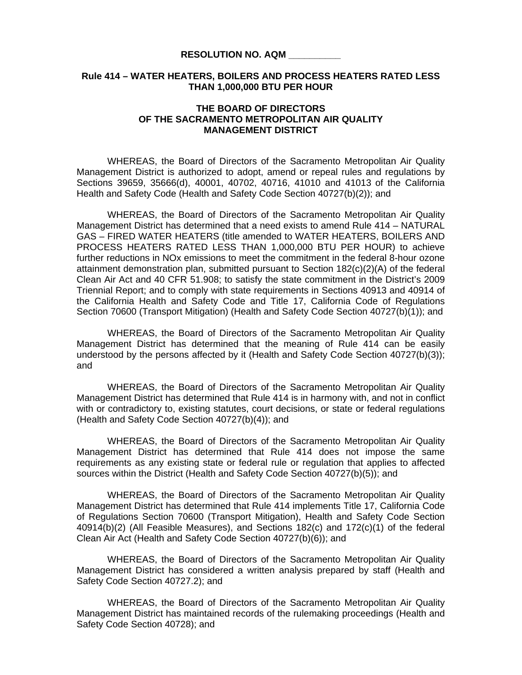## **RESOLUTION NO. AQM \_\_\_\_\_\_\_\_\_\_**

## **Rule 414 – WATER HEATERS, BOILERS AND PROCESS HEATERS RATED LESS THAN 1,000,000 BTU PER HOUR**

## **THE BOARD OF DIRECTORS OF THE SACRAMENTO METROPOLITAN AIR QUALITY MANAGEMENT DISTRICT**

 WHEREAS, the Board of Directors of the Sacramento Metropolitan Air Quality Management District is authorized to adopt, amend or repeal rules and regulations by Sections 39659, 35666(d), 40001, 40702, 40716, 41010 and 41013 of the California Health and Safety Code (Health and Safety Code Section 40727(b)(2)); and

WHEREAS, the Board of Directors of the Sacramento Metropolitan Air Quality Management District has determined that a need exists to amend Rule 414 – NATURAL GAS – FIRED WATER HEATERS (title amended to WATER HEATERS, BOILERS AND PROCESS HEATERS RATED LESS THAN 1,000,000 BTU PER HOUR) to achieve further reductions in NOx emissions to meet the commitment in the federal 8-hour ozone attainment demonstration plan, submitted pursuant to Section 182(c)(2)(A) of the federal Clean Air Act and 40 CFR 51.908; to satisfy the state commitment in the District's 2009 Triennial Report; and to comply with state requirements in Sections 40913 and 40914 of the California Health and Safety Code and Title 17, California Code of Regulations Section 70600 (Transport Mitigation) (Health and Safety Code Section 40727(b)(1)); and

 WHEREAS, the Board of Directors of the Sacramento Metropolitan Air Quality Management District has determined that the meaning of Rule 414 can be easily understood by the persons affected by it (Health and Safety Code Section 40727(b)(3)); and

 WHEREAS, the Board of Directors of the Sacramento Metropolitan Air Quality Management District has determined that Rule 414 is in harmony with, and not in conflict with or contradictory to, existing statutes, court decisions, or state or federal regulations (Health and Safety Code Section 40727(b)(4)); and

 WHEREAS, the Board of Directors of the Sacramento Metropolitan Air Quality Management District has determined that Rule 414 does not impose the same requirements as any existing state or federal rule or regulation that applies to affected sources within the District (Health and Safety Code Section 40727(b)(5)); and

 WHEREAS, the Board of Directors of the Sacramento Metropolitan Air Quality Management District has determined that Rule 414 implements Title 17, California Code of Regulations Section 70600 (Transport Mitigation), Health and Safety Code Section 40914(b)(2) (All Feasible Measures), and Sections 182(c) and 172(c)(1) of the federal Clean Air Act (Health and Safety Code Section 40727(b)(6)); and

WHEREAS, the Board of Directors of the Sacramento Metropolitan Air Quality Management District has considered a written analysis prepared by staff (Health and Safety Code Section 40727.2); and

WHEREAS, the Board of Directors of the Sacramento Metropolitan Air Quality Management District has maintained records of the rulemaking proceedings (Health and Safety Code Section 40728); and